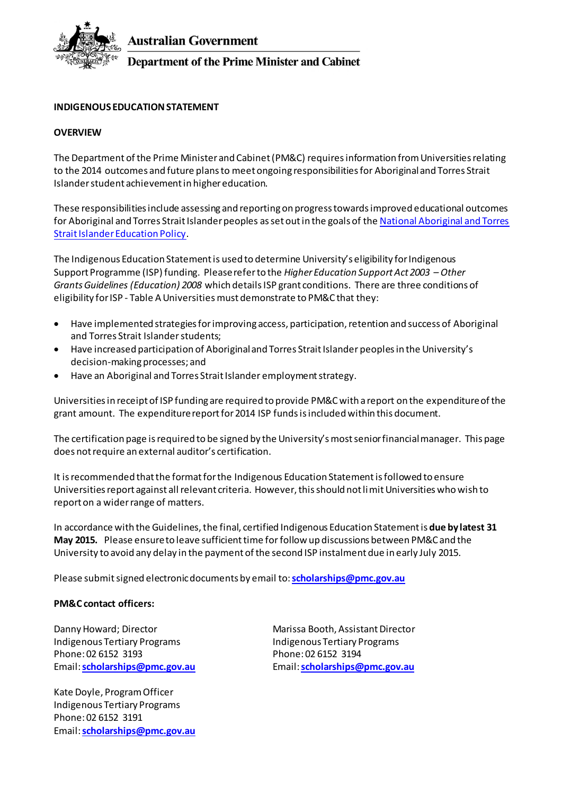

**Australian Government** 

**Department of the Prime Minister and Cabinet** 

# **INDIGENOUS EDUCATION STATEMENT**

#### **OVERVIEW**

The Department of the Prime Minister and Cabinet (PM&C) requires information from Universities relating to the 2014 outcomes and future plans to meet ongoing responsibilities for Aboriginal and Torres Strait Islanderstudent achievement in higher education.

These responsibilities include assessing and reporting on progress towards improved educational outcomes for Aboriginal and Torres Strait Islander peoples as set out in the goals of the National Aboriginal and Torres [Strait Islander Education Policy](http://www.dest.gov.au/sectors/indigenous_education/policy_issues_reviews/national_goals_for_indigenous_education.htm).

The Indigenous Education Statement is used to determine University's eligibility for Indigenous Support Programme (ISP) funding. Please refer to the *Higher Education Support Act 2003 – Other Grants Guidelines (Education) 2008* which details ISP grant conditions. There are three conditions of eligibility for ISP - Table A Universities must demonstrate to PM&C that they:

- Have implemented strategies for improving access, participation, retention and success of Aboriginal and Torres Strait Islander students;
- Have increased participation of Aboriginal and Torres Strait Islander peoplesin the University's decision-making processes; and
- Have an Aboriginal and Torres Strait Islander employment strategy.

Universities in receipt of ISP funding are required to provide PM&Cwith a report on the expenditure of the grant amount. The expenditure report for 2014 ISP funds isincluded within this document.

The certification page is required to be signed by the University's most senior financial manager. This page does not require an external auditor's certification.

It is recommended that the format for the Indigenous Education Statementis followed to ensure Universities report against all relevant criteria. However, this should not limit Universities who wish to report on a wider range of matters.

In accordance with the Guidelines, the final, certified Indigenous Education Statement is **due by latest 31 May 2015.** Please ensure to leave sufficient time for follow up discussions between PM&C and the University to avoid any delay in the payment of the second ISP instalment due in early July 2015.

Please submit signed electronic documents by email to:**[scholarships@pmc.gov.au](mailto:scholarships@pmc.gov.au)**

#### **PM&C contact officers:**

Indigenous Tertiary Programs Phone: 02 6152 3193 Email: **[scholarships@pmc.gov.au](mailto:scholarships@pmc.gov.au)**

Kate Doyle, Program Officer Indigenous Tertiary Programs Phone: 02 6152 3191 Email: **[scholarships@pmc.gov.au](mailto:scholarships@pmc.gov.au)**

Danny Howard; Director **Marissa Booth, Assistant Director** Marissa Booth, Assistant Director Indigenous Tertiary Programs Phone: 02 6152 3194 Email: **[scholarships@pmc.gov.au](mailto:scholarships@pmc.gov.au)**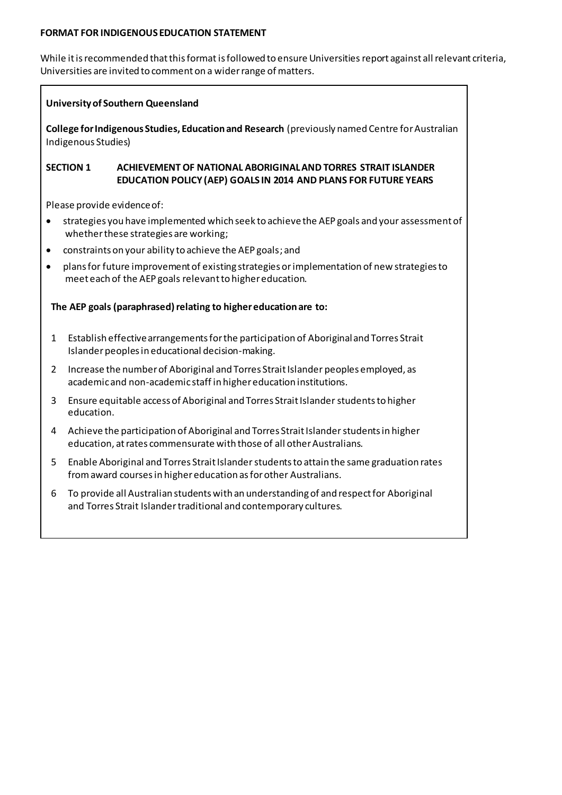#### **FORMAT FOR INDIGENOUS EDUCATION STATEMENT**

While it is recommended that this format is followed to ensure Universities report against all relevant criteria, Universities are invited to comment on a wider range of matters.

#### **University of Southern Queensland**

**College for Indigenous Studies, Education and Research** (previously named Centre for Australian Indigenous Studies)

### **SECTION 1 ACHIEVEMENT OF NATIONAL ABORIGINAL AND TORRES STRAIT ISLANDER EDUCATION POLICY (AEP) GOALS IN 2014 AND PLANS FOR FUTURE YEARS**

Please provide evidence of:

- strategies you have implemented which seek to achieve the AEP goals and your assessment of whether these strategies are working;
- constraints on your ability to achieve the AEP goals; and
- plans for future improvement of existing strategies or implementation of new strategies to meet each of the AEP goals relevant to higher education.

### **The AEP goals (paraphrased) relating to higher education are to:**

- 1 Establish effective arrangements for the participation of Aboriginal and Torres Strait Islander peoples in educational decision-making.
- 2 Increase the number of Aboriginal and Torres Strait Islander peoples employed, as academic and non-academic staff in higher education institutions.
- 3 Ensure equitable access of Aboriginal and Torres Strait Islander students to higher education.
- 4 Achieve the participation of Aboriginal and Torres Strait Islander students in higher education, at rates commensurate with those of all other Australians.
- 5 Enable Aboriginal and Torres Strait Islander students to attain the same graduation rates from award courses in higher education as for other Australians.
- 6 To provide all Australian students with an understanding of and respect for Aboriginal and Torres Strait Islander traditional and contemporary cultures.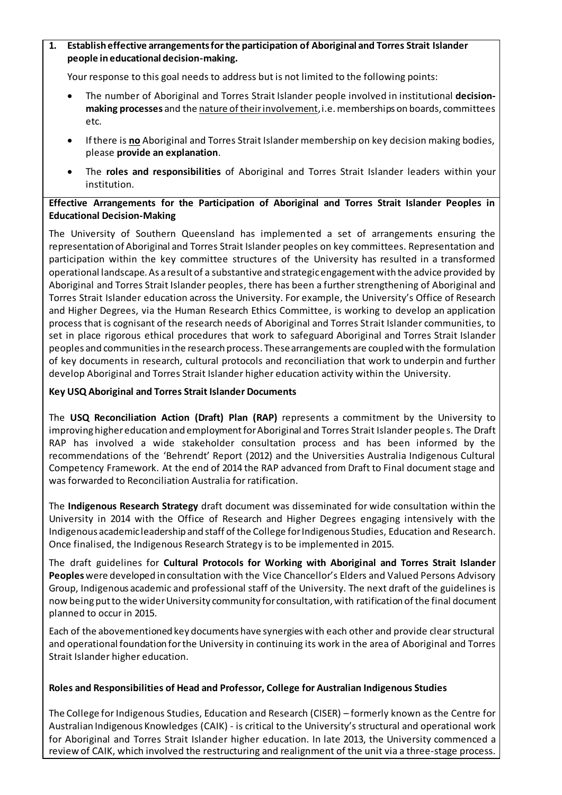# **1. Establish effective arrangements for the participation of Aboriginal and Torres Strait Islander people in educational decision-making.**

Your response to this goal needs to address but is not limited to the following points:

- The number of Aboriginal and Torres Strait Islander people involved in institutional **decisionmaking processes** and the nature of their involvement, i.e. memberships on boards, committees etc.
- If there is **no** Aboriginal and Torres Strait Islander membership on key decision making bodies, please **provide an explanation**.
- The **roles and responsibilities** of Aboriginal and Torres Strait Islander leaders within your institution.

# **Effective Arrangements for the Participation of Aboriginal and Torres Strait Islander Peoples in Educational Decision-Making**

The University of Southern Queensland has implemented a set of arrangements ensuring the representation of Aboriginal and Torres Strait Islander peoples on key committees. Representation and participation within the key committee structures of the University has resulted in a transformed operational landscape. As a result of a substantive and strategic engagement with the advice provided by Aboriginal and Torres Strait Islander peoples, there has been a further strengthening of Aboriginal and Torres Strait Islander education across the University. For example, the University's Office of Research and Higher Degrees, via the Human Research Ethics Committee, is working to develop an application process that is cognisant of the research needs of Aboriginal and Torres Strait Islander communities, to set in place rigorous ethical procedures that work to safeguard Aboriginal and Torres Strait Islander peoples and communitiesin the research process. Thesearrangements are coupled with the formulation of key documents in research, cultural protocols and reconciliation that work to underpin and further develop Aboriginal and Torres Strait Islander higher education activity within the University.

# **Key USQ Aboriginal and Torres Strait Islander Documents**

The **USQ Reconciliation Action (Draft) Plan (RAP)** represents a commitment by the University to improving higher education and employment for Aboriginal and Torres Strait Islander people s. The Draft RAP has involved a wide stakeholder consultation process and has been informed by the recommendations of the 'Behrendt' Report (2012) and the Universities Australia Indigenous Cultural Competency Framework. At the end of 2014 the RAP advanced from Draft to Final document stage and was forwarded to Reconciliation Australia for ratification.

The **Indigenous Research Strategy** draft document was disseminated for wide consultation within the University in 2014 with the Office of Research and Higher Degrees engaging intensively with the Indigenous academic leadership and staff of the College for Indigenous Studies, Education and Research. Once finalised, the Indigenous Research Strategy is to be implemented in 2015.

The draft guidelines for **Cultural Protocols for Working with Aboriginal and Torres Strait Islander Peoples**were developed in consultation with the Vice Chancellor's Elders and Valued Persons Advisory Group, Indigenous academic and professional staff of the University. The next draft of the guidelines is now being put to the wider University community for consultation, with ratification of the final document planned to occur in 2015.

Each of the abovementioned key documents have synergies with each other and provide clear structural and operational foundation for the University in continuing its work in the area of Aboriginal and Torres Strait Islander higher education.

### **Roles and Responsibilities of Head and Professor, College for Australian Indigenous Studies**

The College for Indigenous Studies, Education and Research (CISER) – formerly known as the Centre for Australian Indigenous Knowledges (CAIK) - is critical to the University's structural and operational work for Aboriginal and Torres Strait Islander higher education. In late 2013, the University commenced a review of CAIK, which involved the restructuring and realignment of the unit via a three-stage process.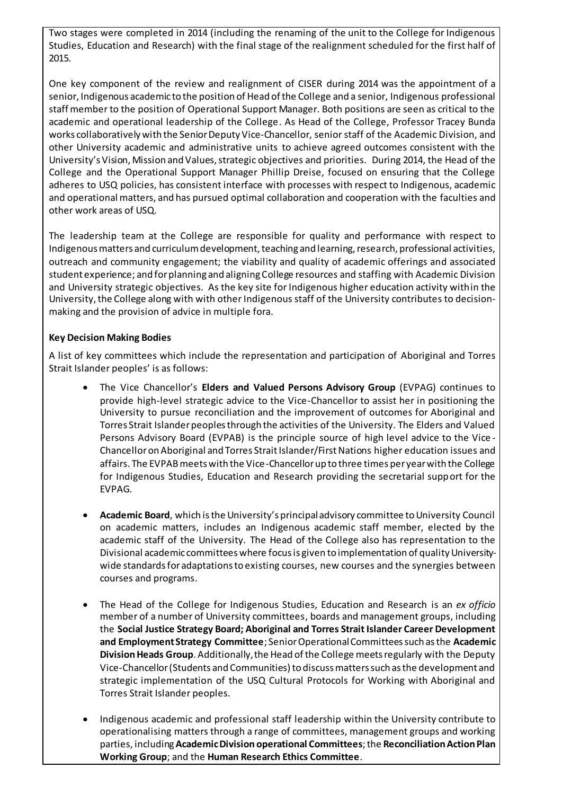Two stages were completed in 2014 (including the renaming of the unit to the College for Indigenous Studies, Education and Research) with the final stage of the realignment scheduled for the first half of 2015.

One key component of the review and realignment of CISER during 2014 was the appointment of a senior, Indigenous academic to the position of Head of the College and a senior, Indigenous professional staff member to the position of Operational Support Manager. Both positions are seen as critical to the academic and operational leadership of the College. As Head of the College, Professor Tracey Bunda works collaboratively with the Senior Deputy Vice-Chancellor, senior staff of the Academic Division, and other University academic and administrative units to achieve agreed outcomes consistent with the University's Vision, Mission and Values, strategic objectives and priorities. During 2014, the Head of the College and the Operational Support Manager Phillip Dreise, focused on ensuring that the College adheres to USQ policies, has consistent interface with processes with respect to Indigenous, academic and operational matters, and has pursued optimal collaboration and cooperation with the faculties and other work areas of USQ.

The leadership team at the College are responsible for quality and performance with respect to Indigenous matters and curriculum development, teaching and learning, research, professional activities, outreach and community engagement; the viability and quality of academic offerings and associated student experience; and for planning and aligning College resources and staffing with Academic Division and University strategic objectives. As the key site for Indigenous higher education activity within the University, the College along with with other Indigenous staff of the University contributes to decisionmaking and the provision of advice in multiple fora.

# **Key Decision Making Bodies**

A list of key committees which include the representation and participation of Aboriginal and Torres Strait Islander peoples' is as follows:

- The Vice Chancellor's **Elders and Valued Persons Advisory Group** (EVPAG) continues to provide high-level strategic advice to the Vice-Chancellor to assist her in positioning the University to pursue reconciliation and the improvement of outcomes for Aboriginal and Torres Strait Islander peoples through the activities of the University. The Elders and Valued Persons Advisory Board (EVPAB) is the principle source of high level advice to the Vice - Chancellor on Aboriginal and Torres Strait Islander/First Nations higher education issues and affairs. The EVPAB meets with the Vice-Chancellor up to three times per year with the College for Indigenous Studies, Education and Research providing the secretarial support for the EVPAG.
- **Academic Board**, which is the University's principal advisory committee to University Council on academic matters, includes an Indigenous academic staff member, elected by the academic staff of the University. The Head of the College also has representation to the Divisional academic committees where focus is given to implementation of quality Universitywide standards for adaptations to existing courses, new courses and the synergies between courses and programs.
- The Head of the College for Indigenous Studies, Education and Research is an *ex officio* member of a number of University committees, boards and management groups, including the **Social Justice Strategy Board; Aboriginal and Torres Strait Islander Career Development and Employment Strategy Committee**; Senior Operational Committees such as the **Academic DivisionHeads Group**. Additionally, the Head of the College meets regularly with the Deputy Vice-Chancellor (Students and Communities) to discuss matters such as the development and strategic implementation of the USQ Cultural Protocols for Working with Aboriginal and Torres Strait Islander peoples.
- Indigenous academic and professional staff leadership within the University contribute to operationalising matters through a range of committees, management groups and working parties, including **Academic Division operational Committees**; the **Reconciliation Action Plan Working Group**; and the **Human Research Ethics Committee**.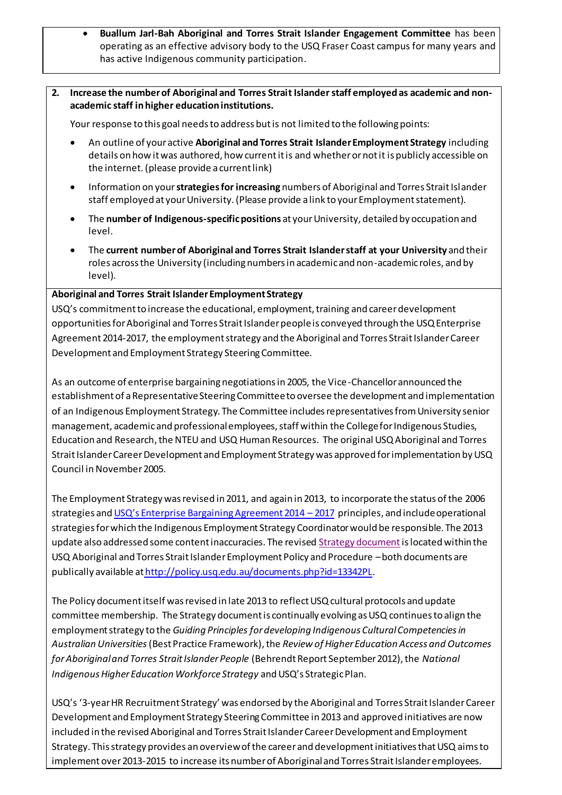- **Buallum Jarl-Bah Aboriginal and Torres Strait Islander Engagement Committee** has been operating as an effective advisory body to the USQ Fraser Coast campus for many years and has active Indigenous community participation.
- **2. Increase the number of Aboriginal and Torres Strait Islander staff employed as academic and nonacademic staff in higher education institutions.**

Your response to this goal needs to address but is not limited to the following points:

- An outline of your active **Aboriginal and Torres Strait Islander Employment Strategy** including details on how it was authored, how current it is and whether or not it is publicly accessible on the internet. (please provide a current link)
- Information on your **strategies for increasing** numbers of Aboriginal and Torres Strait Islander staff employed at your University. (Please provide a link to your Employment statement).
- The **number of Indigenous-specific positions** at your University, detailed by occupation and level.
- The **current number of Aboriginal and Torres Strait Islander staff at your University** and their roles across the University (including numbers in academic and non-academic roles, and by level).

#### **Aboriginal and Torres Strait Islander Employment Strategy**

USQ's commitment to increase the educational, employment, training and career development opportunities for Aboriginal and Torres Strait Islander people is conveyed through the USQ Enterprise Agreement 2014-2017, the employment strategy and the Aboriginal and Torres Strait Islander Career Development and Employment Strategy Steering Committee.

As an outcome of enterprise bargaining negotiations in 2005, the Vice-Chancellor announced the establishment of a Representative Steering Committee to oversee the development and implementation of an Indigenous Employment Strategy. The Committee includes representatives from University senior management, academic and professional employees, staff within the College for Indigenous Studies, Education and Research, the NTEU and USQ Human Resources. The original USQ Aboriginal and Torres Strait Islander Career Development and Employment Strategy was approved for implementation by USQ Council in November 2005.

The Employment Strategy was revised in 2011, and again in 2013, to incorporate the status of the 2006 strategies and U[SQ's Enterprise Bargaining Agreement 201](http://www.usq.edu.au/hr/empcond/ea2014)4 – 2017 principles, and include operational strategies for which the Indigenous Employment Strategy Coordinator would be responsible. The 2013 update also addressed some content inaccuracies. The revise[d Strategy document](http://www.usq.edu.au/hr/polproc/partc/~/media/USQ/HR/Other/IndigenousEmploymentStrategypdf.ashx) is located within the USQ Aboriginal and Torres Strait Islander Employment Policy and Procedure –both documents are publically available at [http://policy.usq.edu.au/documents.php?id=13342PL.](http://policy.usq.edu.au/documents.php?id=13342PL)

The Policy document itself was revised in late 2013 to reflect USQ cultural protocols and update committee membership. The Strategy document is continually evolving as USQ continues to align the employment strategy to the *Guiding Principles for developing Indigenous Cultural Competencies in Australian Universities*(Best Practice Framework), the *Review of Higher Education Access and Outcomes for Aboriginal and Torres Strait Islander People* (Behrendt Report September 2012), the *National Indigenous Higher Education Workforce Strategy* and USQ's Strategic Plan.

USQ's '3-year HR Recruitment Strategy' was endorsed by the Aboriginal and Torres Strait Islander Career Development and Employment Strategy Steering Committee in 2013 and approved initiatives are now included in the revised Aboriginal and Torres Strait Islander Career Development and Employment Strategy. This strategy provides an overview of the career and development initiatives that USQ aimsto implement over 2013-2015 to increase its number of Aboriginal and Torres Strait Islander employees.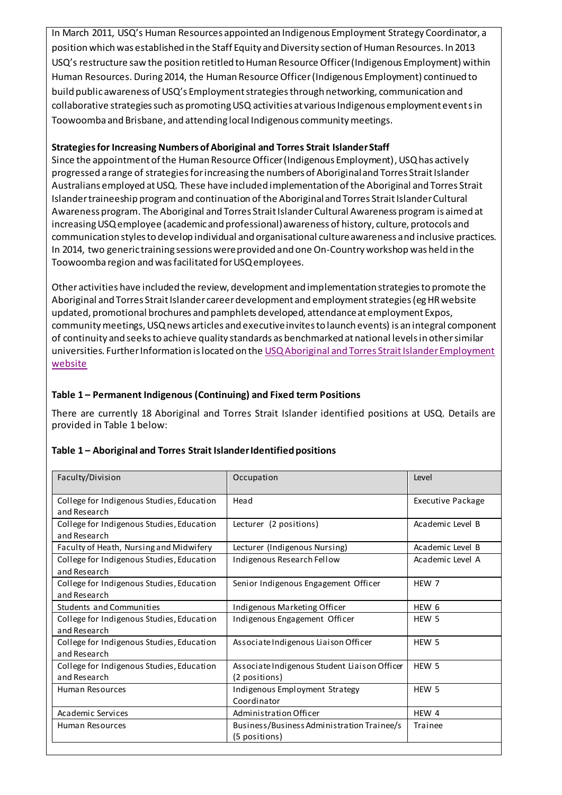In March 2011, USQ's Human Resources appointed an Indigenous Employment Strategy Coordinator, a position which was established in the Staff Equity and Diversity section of Human Resources. In 2013 USQ's restructure saw the position retitled to Human Resource Officer (Indigenous Employment) within Human Resources. During 2014, the Human Resource Officer (Indigenous Employment) continued to build public awareness of USQ's Employment strategies through networking, communication and collaborative strategies such as promoting USQ activities at various Indigenous employment events in Toowoomba and Brisbane, and attending local Indigenous community meetings.

# **Strategies for Increasing Numbers of Aboriginal and Torres Strait Islander Staff**

Since the appointment of the Human Resource Officer (Indigenous Employment), USQ has actively progressed a range of strategies for increasing the numbers of Aboriginal and Torres Strait Islander Australians employed at USQ. These have included implementation of the Aboriginal and Torres Strait Islander traineeship program and continuation of the Aboriginal and Torres Strait Islander Cultural Awareness program. The Aboriginal and Torres Strait Islander Cultural Awareness program is aimed at increasing USQ employee (academic and professional) awareness of history, culture, protocols and communication styles to develop individual and organisational culture awareness and inclusive practices. In 2014, two generic training sessions were provided and one On-Country workshop was held in the Toowoomba region and was facilitated for USQ employees.

Other activities have included the review, development and implementation strategies to promote the Aboriginal and Torres Strait Islander career development and employment strategies (eg HR website updated, promotional brochures and pamphlets developed, attendance at employment Expos, community meetings, USQ news articles and executive invites to launch events) is an integral component of continuity and seeks to achieve quality standards as benchmarked at national levels in other similar universities. Further Information is located on the [USQ Aboriginal and Torres Strait Islander Employment](http://www.usq.edu.au/hr/equitydiversity/eopolproc/aboriginaltorresstraitislanderemp)  [website](http://www.usq.edu.au/hr/equitydiversity/eopolproc/aboriginaltorresstraitislanderemp)

# **Table 1 – Permanent Indigenous (Continuing) and Fixed term Positions**

There are currently 18 Aboriginal and Torres Strait Islander identified positions at USQ. Details are provided in Table 1 below:

| Faculty/Division                                          | Occupation                                                    | Level                    |
|-----------------------------------------------------------|---------------------------------------------------------------|--------------------------|
| College for Indigenous Studies, Education<br>and Research | Head                                                          | <b>Executive Package</b> |
| College for Indigenous Studies, Education<br>and Research | Lecturer (2 positions)                                        | Academic Level B         |
| Faculty of Heath, Nursing and Midwifery                   | Lecturer (Indigenous Nursing)                                 | Academic Level B         |
| College for Indigenous Studies, Education<br>and Research | Indigenous Research Fellow                                    | Academic Level A         |
| College for Indigenous Studies, Education<br>and Research | Senior Indigenous Engagement Officer                          | HEW 7                    |
| <b>Students and Communities</b>                           | Indigenous Marketing Officer                                  | HEW 6                    |
| College for Indigenous Studies, Education<br>and Research | Indigenous Engagement Officer                                 | HEW 5                    |
| College for Indigenous Studies, Education<br>and Research | Associate Indigenous Liaison Officer                          | HEW <sub>5</sub>         |
| College for Indigenous Studies, Education<br>and Research | Associate Indigenous Student Liaison Officer<br>(2 positions) | HEW <sub>5</sub>         |
| Human Resources                                           | Indigenous Employment Strategy<br>Coordinator                 | HEW <sub>5</sub>         |
| Academic Services                                         | Administration Officer                                        | HEW 4                    |
| <b>Human Resources</b>                                    | Business/Business Administration Trainee/s<br>(5 positions)   | Trainee                  |

### **Table 1 – Aboriginal and Torres Strait Islander Identified positions**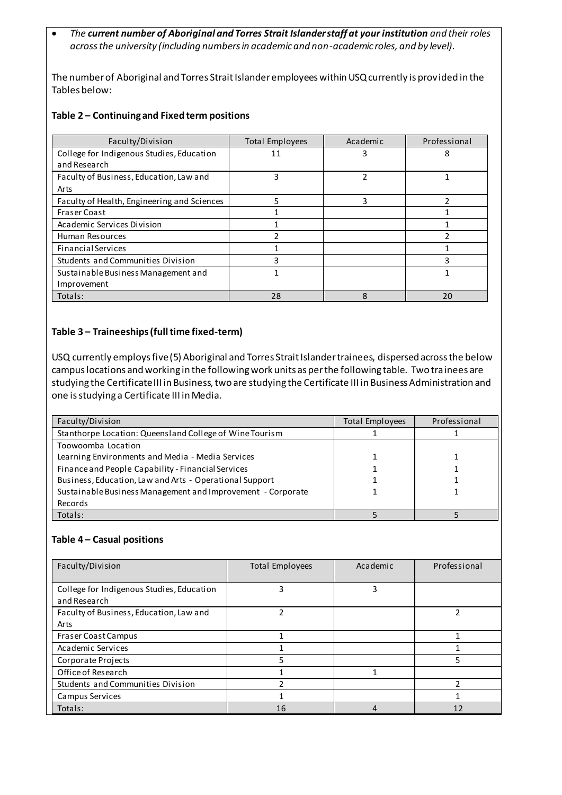*The current number of Aboriginal and Torres Strait Islander staff at your institution and their roles across the university (including numbers in academic and non-academic roles, and by level).*

The number of Aboriginal and Torres Strait Islander employees within USQ currently is provided in the Tables below:

#### **Table 2 – Continuing and Fixed term positions**

| Faculty/Division                            | <b>Total Employees</b> | Academic      | Professional |
|---------------------------------------------|------------------------|---------------|--------------|
| College for Indigenous Studies, Education   | 11                     | 3             | 8            |
| and Research                                |                        |               |              |
| Faculty of Business, Education, Law and     | 3                      | $\mathfrak z$ |              |
| Arts                                        |                        |               |              |
| Faculty of Health, Engineering and Sciences | 5                      | 3             |              |
| <b>Fraser Coast</b>                         |                        |               |              |
| Academic Services Division                  |                        |               |              |
| Human Resources                             |                        |               |              |
| <b>Financial Services</b>                   |                        |               |              |
| Students and Communities Division           | 3                      |               | 3            |
| Sustainable Business Management and         |                        |               |              |
| Improvement                                 |                        |               |              |
| Totals:                                     | 28                     | ጸ             | 20           |

### **Table 3 – Traineeships (full time fixed-term)**

USQ currently employs five (5) Aboriginal and Torres Strait Islander trainees, dispersed across the below campus locations and working in the following work units as per the following table. Two trainees are studying the Certificate III in Business, two are studying the Certificate III in Business Administration and one is studying a Certificate III in Media.

| Faculty/Division                                            | <b>Total Employees</b> | Professional |
|-------------------------------------------------------------|------------------------|--------------|
| Stanthorpe Location: Queensland College of Wine Tourism     |                        |              |
| Toowoomba Location                                          |                        |              |
| Learning Environments and Media - Media Services            |                        |              |
| Finance and People Capability - Financial Services          |                        |              |
| Business, Education, Law and Arts - Operational Support     |                        |              |
| Sustainable Business Management and Improvement - Corporate |                        |              |
| Records                                                     |                        |              |
| Totals:                                                     |                        |              |

#### **Table 4 – Casual positions**

| Faculty/Division                                          | <b>Total Employees</b> | Academic | Professional |
|-----------------------------------------------------------|------------------------|----------|--------------|
| College for Indigenous Studies, Education<br>and Research | ς                      | 3        |              |
| Faculty of Business, Education, Law and<br>Arts           |                        |          |              |
| <b>Fraser Coast Campus</b>                                |                        |          |              |
| Academic Services                                         |                        |          |              |
| Corporate Projects                                        | 5                      |          | 5            |
| Office of Research                                        |                        |          |              |
| Students and Communities Division                         |                        |          |              |
| Campus Services                                           |                        |          |              |
| Totals:                                                   | 16                     |          | 12           |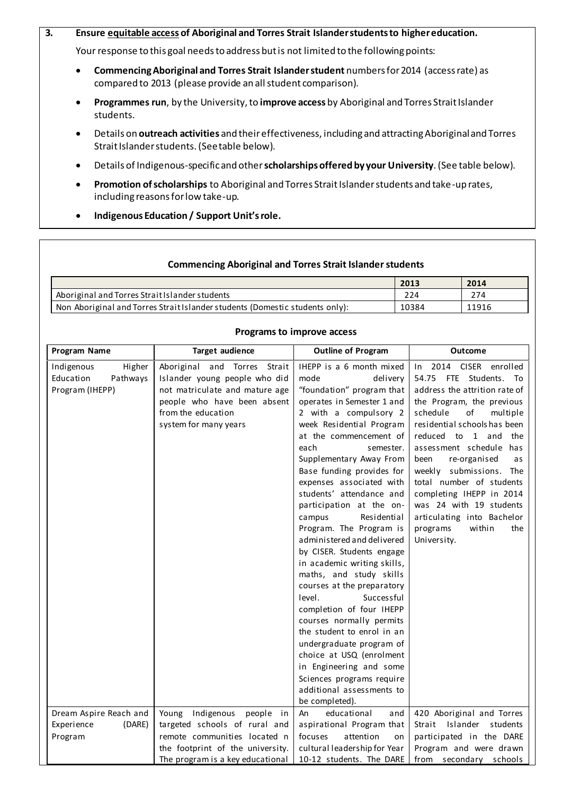#### **3. Ensure equitable access of Aboriginal and Torres Strait Islander students to higher education.**

Your response to this goal needs to address but is not limited to the following points:

- **Commencing Aboriginal and Torres Strait Islander student** numbers for 2014 (access rate) as compared to 2013 (please provide an all student comparison).
- **Programmes run**, by the University, to **improve access** by Aboriginal and Torres Strait Islander students.
- Details on **outreach activities** and their effectiveness, including and attracting Aboriginal and Torres Strait Islander students. (See table below).
- Details of Indigenous-specific and other **scholarships offered by your University**.(See table below).
- **Promotion of scholarships** to Aboriginal and Torres Strait Islander students and take-up rates, including reasons for low take-up.
- **Indigenous Education / Support Unit's role.**

#### **Commencing Aboriginal and Torres Strait Islander students**

|                                                                              | 2013  | 2014  |
|------------------------------------------------------------------------------|-------|-------|
| Aboriginal and Torres Strait Islander students                               | 224   | 274   |
| Non Aboriginal and Torres Strait Islander students (Domestic students only): | 10384 | 11916 |

#### **Programs to improve access**

| Program Name                                                     | <b>Target audience</b>                                                                                                                                                              | <b>Outline of Program</b>                                                                                                                                                                                                                                                                                                                                                                                                                                                                                                                                                                                                                                                                                                                                                                    | Outcome                                                                                                                                                                                                                                                                                                                                                                                                                                                        |
|------------------------------------------------------------------|-------------------------------------------------------------------------------------------------------------------------------------------------------------------------------------|----------------------------------------------------------------------------------------------------------------------------------------------------------------------------------------------------------------------------------------------------------------------------------------------------------------------------------------------------------------------------------------------------------------------------------------------------------------------------------------------------------------------------------------------------------------------------------------------------------------------------------------------------------------------------------------------------------------------------------------------------------------------------------------------|----------------------------------------------------------------------------------------------------------------------------------------------------------------------------------------------------------------------------------------------------------------------------------------------------------------------------------------------------------------------------------------------------------------------------------------------------------------|
| Indigenous<br>Higher<br>Education<br>Pathways<br>Program (IHEPP) | Aboriginal<br>and Torres<br>Strait<br>Islander young people who did<br>not matriculate and mature age<br>people who have been absent<br>from the education<br>system for many years | IHEPP is a 6 month mixed<br>mode<br>delivery<br>"foundation" program that<br>operates in Semester 1 and<br>2 with a compulsory 2<br>week Residential Program<br>at the commencement of<br>each<br>semester.<br>Supplementary Away From<br>Base funding provides for<br>expenses associated with<br>students' attendance and<br>participation at the on-<br>Residential<br>campus<br>Program. The Program is<br>administered and delivered<br>by CISER. Students engage<br>in academic writing skills,<br>maths, and study skills<br>courses at the preparatory<br>level.<br>Successful<br>completion of four IHEPP<br>courses normally permits<br>the student to enrol in an<br>undergraduate program of<br>choice at USQ (enrolment<br>in Engineering and some<br>Sciences programs require | 2014 CISER<br>enrolled<br>In<br>54.75 FTE Students. To<br>address the attrition rate of<br>the Program, the previous<br>schedule<br>of<br>multiple<br>residential schools has been<br>reduced to 1 and<br>the<br>assessment schedule has<br>been<br>re-organised<br>as<br>weekly submissions. The<br>total number of students<br>completing IHEPP in 2014<br>was 24 with 19 students<br>articulating into Bachelor<br>within<br>programs<br>the<br>University. |
|                                                                  |                                                                                                                                                                                     | additional assessments to<br>be completed).                                                                                                                                                                                                                                                                                                                                                                                                                                                                                                                                                                                                                                                                                                                                                  |                                                                                                                                                                                                                                                                                                                                                                                                                                                                |
| Dream Aspire Reach and<br>Experience<br>(DARE)<br>Program        | Young<br>Indigenous<br>people in<br>targeted schools of rural and<br>remote communities located n<br>the footprint of the university.                                               | educational<br>An<br>and<br>aspirational Program that<br>focuses<br>attention<br>on<br>cultural leadership for Year                                                                                                                                                                                                                                                                                                                                                                                                                                                                                                                                                                                                                                                                          | 420 Aboriginal and Torres<br>Strait Islander students<br>participated in the DARE<br>Program and were drawn                                                                                                                                                                                                                                                                                                                                                    |
|                                                                  | The program is a key educational                                                                                                                                                    | 10-12 students. The DARE                                                                                                                                                                                                                                                                                                                                                                                                                                                                                                                                                                                                                                                                                                                                                                     | from secondary schools                                                                                                                                                                                                                                                                                                                                                                                                                                         |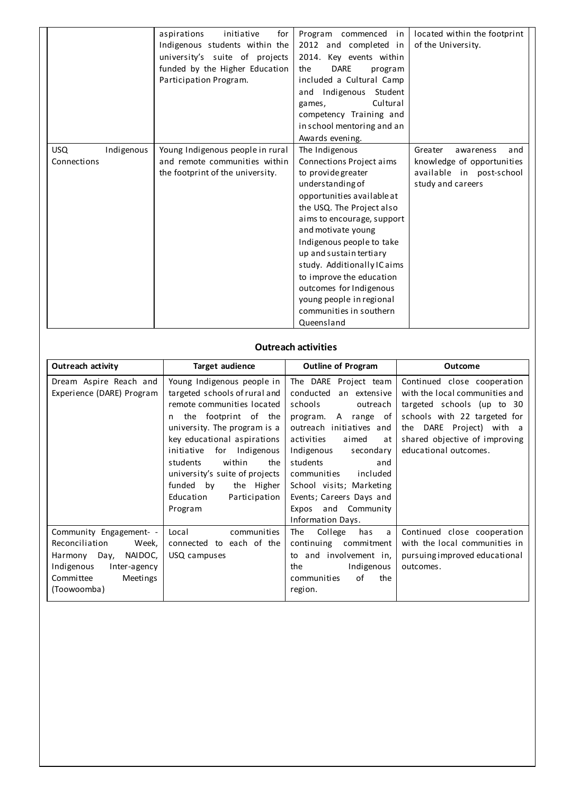|             |            | aspirations<br>initiative<br>for<br>Indigenous students within the<br>university's suite of projects<br>funded by the Higher Education<br>Participation Program. | Program commenced in<br>2012 and completed in<br>2014. Key events within<br><b>DARE</b><br>the<br>program<br>included a Cultural Camp<br>Student<br>and Indigenous<br>Cultural<br>games,<br>competency Training and<br>in school mentoring and an<br>Awards evening. | located within the footprint<br>of the University. |
|-------------|------------|------------------------------------------------------------------------------------------------------------------------------------------------------------------|----------------------------------------------------------------------------------------------------------------------------------------------------------------------------------------------------------------------------------------------------------------------|----------------------------------------------------|
| <b>USQ</b>  | Indigenous | Young Indigenous people in rural                                                                                                                                 | The Indigenous                                                                                                                                                                                                                                                       | Greater<br>awareness<br>and                        |
| Connections |            | and remote communities within                                                                                                                                    | Connections Project aims                                                                                                                                                                                                                                             | knowledge of opportunities                         |
|             |            | the footprint of the university.                                                                                                                                 | to provide greater                                                                                                                                                                                                                                                   | available in post-school                           |
|             |            |                                                                                                                                                                  | understanding of                                                                                                                                                                                                                                                     | study and careers                                  |
|             |            |                                                                                                                                                                  | opportunities available at                                                                                                                                                                                                                                           |                                                    |
|             |            |                                                                                                                                                                  | the USQ. The Project also                                                                                                                                                                                                                                            |                                                    |
|             |            |                                                                                                                                                                  | aims to encourage, support                                                                                                                                                                                                                                           |                                                    |
|             |            |                                                                                                                                                                  | and motivate young                                                                                                                                                                                                                                                   |                                                    |
|             |            |                                                                                                                                                                  | Indigenous people to take                                                                                                                                                                                                                                            |                                                    |
|             |            |                                                                                                                                                                  | up and sustain tertiary                                                                                                                                                                                                                                              |                                                    |
|             |            |                                                                                                                                                                  | study. Additionally IC aims                                                                                                                                                                                                                                          |                                                    |
|             |            |                                                                                                                                                                  | to improve the education                                                                                                                                                                                                                                             |                                                    |
|             |            |                                                                                                                                                                  | outcomes for Indigenous                                                                                                                                                                                                                                              |                                                    |
|             |            |                                                                                                                                                                  | young people in regional                                                                                                                                                                                                                                             |                                                    |
|             |            |                                                                                                                                                                  | communities in southern                                                                                                                                                                                                                                              |                                                    |
|             |            |                                                                                                                                                                  | Queensland                                                                                                                                                                                                                                                           |                                                    |

## **Outreach activities**

| Outreach activity                                                                                                                                   | <b>Target audience</b>                                                                                                                                                                                                                                                                                                                                      |                                                                                                                                                                                                                                                                                                                                                 | <b>Outcome</b>                                                                                                                                                                                                    |
|-----------------------------------------------------------------------------------------------------------------------------------------------------|-------------------------------------------------------------------------------------------------------------------------------------------------------------------------------------------------------------------------------------------------------------------------------------------------------------------------------------------------------------|-------------------------------------------------------------------------------------------------------------------------------------------------------------------------------------------------------------------------------------------------------------------------------------------------------------------------------------------------|-------------------------------------------------------------------------------------------------------------------------------------------------------------------------------------------------------------------|
| Dream Aspire Reach and<br>Experience (DARE) Program                                                                                                 | Young Indigenous people in<br>targeted schools of rural and<br>remote communities located<br>the footprint of the<br>n<br>university. The program is a<br>key educational aspirations<br>initiative<br>for<br>Indigenous<br>within<br>students<br>the<br>university's suite of projects<br>funded by<br>the Higher<br>Education<br>Participation<br>Program | The DARE Project team<br>conducted<br>an extensive<br>schools<br>outreach<br>program.<br>A range<br>of<br>outreach initiatives and<br>activities<br>aimed<br>at<br>Indigenous<br>secondary<br>students<br>and<br>included<br>communities<br>School visits; Marketing<br>Events; Careers Days and<br>and Community<br>Expos<br>Information Days. | Continued close cooperation<br>with the local communities and<br>targeted schools (up to 30<br>schools with 22 targeted for<br>the DARE Project) with a<br>shared objective of improving<br>educational outcomes. |
| Community Engagement- -<br>Reconciliation<br>Week,<br>Harmony Day,<br>NAIDOC,<br>Indigenous<br>Inter-agency<br>Committee<br>Meetings<br>(Toowoomba) | Local<br>communities<br>connected to each of the<br>USQ campuses                                                                                                                                                                                                                                                                                            | College<br>The<br>has<br>a<br>commitment<br>continuing<br>to and involvement in,<br>Indigenous<br>the<br>of<br>communities<br>the<br>region.                                                                                                                                                                                                    | Continued close cooperation<br>with the local communities in<br>pursuing improved educational<br>outcomes.                                                                                                        |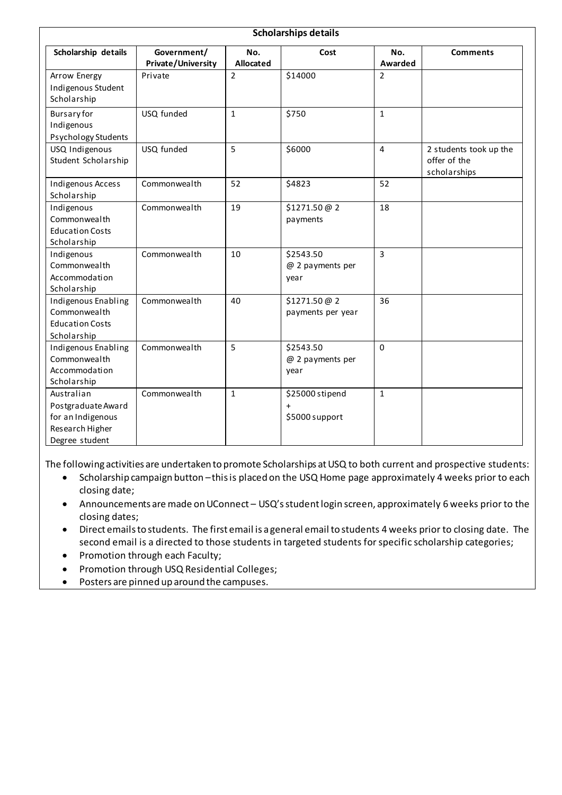| <b>Scholarships details</b>                                                                |                                          |                  |                                                |                |                                                        |
|--------------------------------------------------------------------------------------------|------------------------------------------|------------------|------------------------------------------------|----------------|--------------------------------------------------------|
| Scholarship details                                                                        | Government/<br><b>Private/University</b> | No.<br>Allocated | Cost                                           | No.<br>Awarded | <b>Comments</b>                                        |
| Arrow Energy<br>Indigenous Student<br>Scholarship                                          | Private                                  | $\overline{2}$   | \$14000                                        | $\overline{2}$ |                                                        |
| <b>Bursary</b> for<br>Indigenous<br>Psychology Students                                    | USQ funded                               | $\mathbf{1}$     | \$750                                          | $\mathbf{1}$   |                                                        |
| USQ Indigenous<br>Student Scholarship                                                      | USQ funded                               | 5                | \$6000                                         | $\overline{4}$ | 2 students took up the<br>offer of the<br>scholarships |
| Indigenous Access<br>Scholarship                                                           | Commonwealth                             | 52               | \$4823                                         | 52             |                                                        |
| Indigenous<br>Commonwealth<br><b>Education Costs</b><br>Scholarship                        | Commonwealth                             | 19               | \$1271.50 @ 2<br>payments                      | 18             |                                                        |
| Indigenous<br>Commonwealth<br>Accommodation<br>Scholarship                                 | Commonwealth                             | 10               | \$2543.50<br>@ 2 payments per<br>year          | $\overline{3}$ |                                                        |
| Indigenous Enabling<br>Commonwealth<br><b>Education Costs</b><br>Scholarship               | Commonwealth                             | 40               | \$1271.50 @ 2<br>payments per year             | 36             |                                                        |
| Indigenous Enabling<br>Commonwealth<br>Accommodation<br>Scholarship                        | Commonwealth                             | 5                | \$2543.50<br>@ 2 payments per<br>year          | $\mathbf 0$    |                                                        |
| Australian<br>Postgraduate Award<br>for an Indigenous<br>Research Higher<br>Degree student | Commonwealth                             | $\mathbf{1}$     | \$25000 stipend<br>$\ddot{}$<br>\$5000 support | $\mathbf{1}$   |                                                        |

The following activities are undertaken to promote Scholarships at USQ to both current and prospective students:

- Scholarship campaign button –this is placed on the USQ Home page approximately 4 weeks prior to each closing date;
- Announcements are made on UConnect USQ's student login screen, approximately 6 weeks prior to the closing dates;
- Direct emails to students. The first email is a general email to students 4 weeks prior to closing date. The second email is a directed to those students in targeted students for specific scholarship categories;
- Promotion through each Faculty;
- Promotion through USQ Residential Colleges;
- Posters are pinned up around the campuses.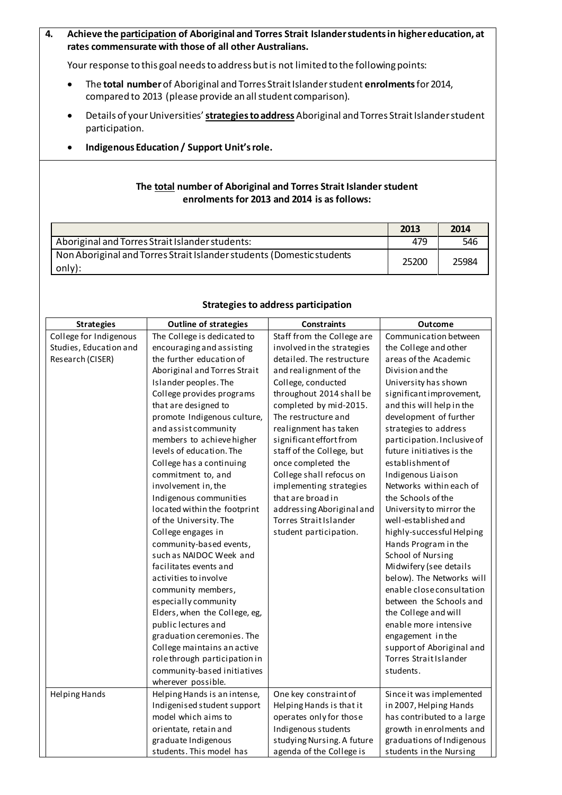### **4. Achieve the participation of Aboriginal and Torres Strait Islander students in higher education, at rates commensurate with those of all other Australians.**

Your response to this goal needs to address but is not limited to the following points:

- The **total number**of Aboriginal and Torres Strait Islander student **enrolments**for 2014, compared to 2013 (please provide an all student comparison).
- Details of your Universities'**strategies to address** Aboriginal and Torres Strait Islander student participation.
- **Indigenous Education / Support Unit'srole.**

### **The total number of Aboriginal and Torres Strait Islander student enrolments for 2013 and 2014 is as follows:**

|                                                                                 | 2013  | 2014  |
|---------------------------------------------------------------------------------|-------|-------|
| Aboriginal and Torres Strait Islander students:                                 | 479   | 546   |
| Non Aboriginal and Torres Strait Islander students (Domestic students<br>only): | 25200 | 25984 |

| <b>Strategies</b>      | <b>Outline of strategies</b>  | <b>Constraints</b>         | Outcome                     |
|------------------------|-------------------------------|----------------------------|-----------------------------|
| College for Indigenous | The College is dedicated to   | Staff from the College are | Communication between       |
| Studies, Education and | encouraging and assisting     | involved in the strategies | the College and other       |
| Research (CISER)       | the further education of      | detailed. The restructure  | areas of the Academic       |
|                        | Aboriginal and Torres Strait  | and realignment of the     | Division and the            |
|                        | Islander peoples. The         | College, conducted         | University has shown        |
|                        | College provides programs     | throughout 2014 shall be   | significantimprovement,     |
|                        | that are designed to          | completed by mid-2015.     | and this will help in the   |
|                        | promote Indigenous culture,   | The restructure and        | development of further      |
|                        | and assist community          | realignment has taken      | strategies to address       |
|                        | members to achieve higher     | significant effort from    | participation. Inclusive of |
|                        | levels of education. The      | staff of the College, but  | future initiatives is the   |
|                        | College has a continuing      | once completed the         | establishment of            |
|                        | commitment to, and            | College shall refocus on   | Indigenous Liaison          |
|                        | involvement in, the           | implementing strategies    | Networks within each of     |
|                        | Indigenous communities        | that are broad in          | the Schools of the          |
|                        | located within the footprint  | addressing Aboriginal and  | University to mirror the    |
|                        | of the University. The        | Torres Strait Islander     | well-established and        |
|                        | College engages in            | student participation.     | highly-successful Helping   |
|                        | community-based events,       |                            | Hands Program in the        |
|                        | such as NAIDOC Week and       |                            | School of Nursing           |
|                        | facilitates events and        |                            | Midwifery (see details      |
|                        | activities to involve         |                            | below). The Networks will   |
|                        | community members,            |                            | enable close consultation   |
|                        | especially community          |                            | between the Schools and     |
|                        | Elders, when the College, eg, |                            | the College and will        |
|                        | public lectures and           |                            | enable more intensive       |
|                        | graduation ceremonies. The    |                            | engagement in the           |
|                        | College maintains an active   |                            | support of Aboriginal and   |
|                        | rolethrough participation in  |                            | Torres Strait Islander      |
|                        | community-based initiatives   |                            | students.                   |
|                        | wherever possible.            |                            |                             |
| Helping Hands          | Helping Hands is an intense,  | One key constraint of      | Since it was implemented    |
|                        | Indigenised student support   | Helping Hands is that it   | in 2007, Helping Hands      |
|                        | model which aims to           | operates only for those    | has contributed to a large  |
|                        | orientate, retain and         | Indigenous students        | growth in enrolments and    |
|                        | graduate Indigenous           | studying Nursing. A future | graduations of Indigenous   |
|                        | students. This model has      | agenda of the College is   | students in the Nursing     |

#### **Strategies to address participation**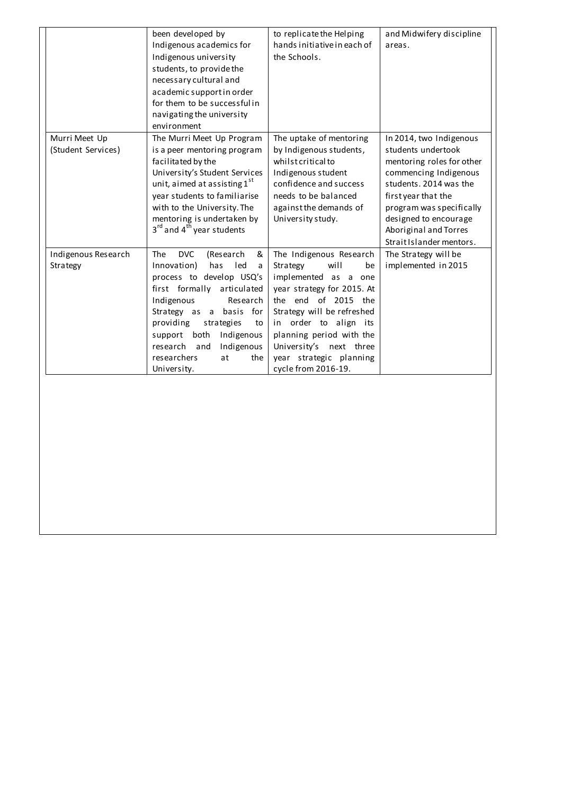|                                     | been developed by<br>Indigenous academics for<br>Indigenous university<br>students, to provide the<br>necessary cultural and<br>academic support in order<br>for them to be successful in<br>navigating the university<br>environment                                                                                               | to replicate the Helping<br>hands initiative in each of<br>the Schools.                                                                                                                                                                                                                        | and Midwifery discipline<br>areas.                                                                                                                                                                                                                             |
|-------------------------------------|-------------------------------------------------------------------------------------------------------------------------------------------------------------------------------------------------------------------------------------------------------------------------------------------------------------------------------------|------------------------------------------------------------------------------------------------------------------------------------------------------------------------------------------------------------------------------------------------------------------------------------------------|----------------------------------------------------------------------------------------------------------------------------------------------------------------------------------------------------------------------------------------------------------------|
| Murri Meet Up<br>(Student Services) | The Murri Meet Up Program<br>is a peer mentoring program<br>facilitated by the<br>University's Student Services<br>unit, aimed at assisting 1st<br>year students to familiarise<br>with to the University. The<br>mentoring is undertaken by<br>3 <sup>rd</sup> and 4 <sup>th</sup> year students                                   | The uptake of mentoring<br>by Indigenous students,<br>whilst critical to<br>Indigenous student<br>confidence and success<br>needs to be balanced<br>against the demands of<br>University study.                                                                                                | In 2014, two Indigenous<br>students undertook<br>mentoring roles for other<br>commencing Indigenous<br>students. 2014 was the<br>first year that the<br>program was specifically<br>designed to encourage<br>Aboriginal and Torres<br>Strait Islander mentors. |
| Indigenous Research<br>Strategy     | <b>The</b><br><b>DVC</b><br>(Research<br>&<br>Innovation)<br>has<br>led<br>a<br>process to develop USQ's<br>first formally articulated<br>Indigenous<br>Research<br>Strategy as a basis for<br>providing<br>strategies<br>to<br>Indigenous<br>support both<br>research and<br>Indigenous<br>researchers<br>at<br>the<br>University. | The Indigenous Research<br>will<br>Strategy<br>be<br>implemented as a one<br>year strategy for 2015. At<br>the end of 2015 the<br>Strategy will be refreshed<br>in order to align its<br>planning period with the<br>University's next three<br>year strategic planning<br>cycle from 2016-19. | The Strategy will be<br>implemented in 2015                                                                                                                                                                                                                    |
|                                     |                                                                                                                                                                                                                                                                                                                                     |                                                                                                                                                                                                                                                                                                |                                                                                                                                                                                                                                                                |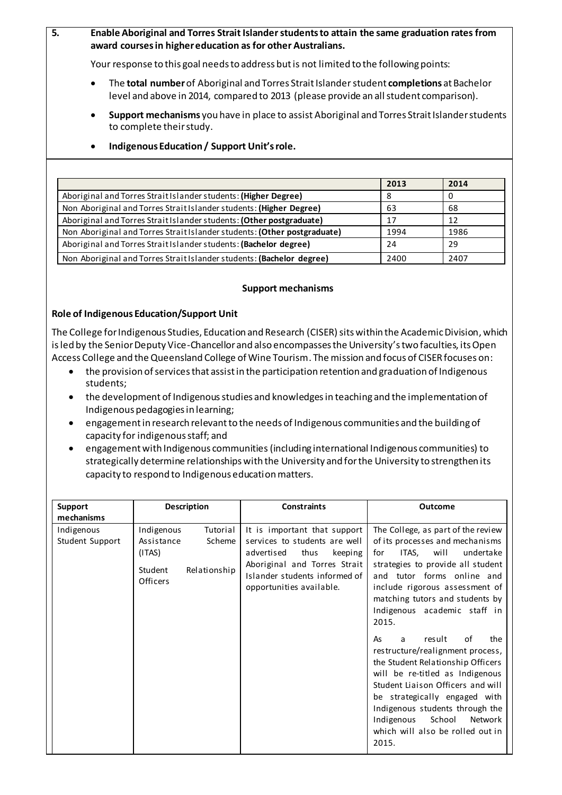**5. Enable Aboriginal and Torres Strait Islander students to attain the same graduation rates from award courses in higher education as for other Australians.** 

Your response to this goal needs to address but is not limited to the following points:

- The **total number**of Aboriginal and Torres Strait Islander student **completions** at Bachelor level and above in 2014, compared to 2013 (please provide an all student comparison).
- **Support mechanisms** you have in place to assist Aboriginal and Torres Strait Islander students to complete their study.

|                                                                          | 2013 | 2014 |
|--------------------------------------------------------------------------|------|------|
| Aboriginal and Torres Strait Islander students: (Higher Degree)          |      |      |
| Non Aboriginal and Torres Strait Islander students: (Higher Degree)      | 63   | 68   |
| Aboriginal and Torres Strait Islander students: (Other postgraduate)     | 17   | 12   |
| Non Aboriginal and Torres Strait Islander students: (Other postgraduate) | 1994 | 1986 |
| Aboriginal and Torres Strait Islander students: (Bachelor degree)        | 24   | 29   |
| Non Aboriginal and Torres Strait Islander students: (Bachelor degree)    | 2400 | 2407 |

#### **Indigenous Education / Support Unit's role.**

#### **Support mechanisms**

#### **Role of Indigenous Education/Support Unit**

The College for Indigenous Studies, Education and Research (CISER) sits within the Academic Division, which is led by the Senior Deputy Vice-Chancellor and also encompasses the University's two faculties, its Open Access College and the Queensland College of Wine Tourism. The mission and focus of CISER focuses on:

- the provision of services that assist in the participation retention and graduation of Indigenous students;
- the development of Indigenous studies and knowledges in teaching and the implementation of Indigenous pedagogies in learning;
- engagement in research relevant to the needs of Indigenous communities and the building of capacity for indigenous staff; and
- engagement with Indigenous communities (including international Indigenous communities) to strategically determine relationships with the University and for the University to strengthen its capacity to respond to Indigenous education matters.

| <b>Support</b><br>mechanisms  | <b>Description</b>                                                                              | <b>Constraints</b>                                                                                                                                                                          | Outcome                                                                                                                                                                                                                                                                                                                                                                                                                                                                                                                                                                                                                            |
|-------------------------------|-------------------------------------------------------------------------------------------------|---------------------------------------------------------------------------------------------------------------------------------------------------------------------------------------------|------------------------------------------------------------------------------------------------------------------------------------------------------------------------------------------------------------------------------------------------------------------------------------------------------------------------------------------------------------------------------------------------------------------------------------------------------------------------------------------------------------------------------------------------------------------------------------------------------------------------------------|
| Indigenous<br>Student Support | Indigenous<br>Tutorial<br>Assistance<br>Scheme<br>(ITAS)<br>Student<br>Relationship<br>Officers | It is important that support<br>services to students are well<br>advertised<br>thus<br>keeping<br>Aboriginal and Torres Strait<br>Islander students informed of<br>opportunities available. | The College, as part of the review<br>of its processes and mechanisms<br>ITAS,<br>will<br>undertake<br>for<br>strategies to provide all student<br>and tutor forms online and<br>include rigorous assessment of<br>matching tutors and students by<br>Indigenous academic staff in<br>2015.<br>result<br>of<br>the<br>As<br>a<br>restructure/realignment process,<br>the Student Relationship Officers<br>will be re-titled as Indigenous<br>Student Liaison Officers and will<br>be strategically engaged with<br>Indigenous students through the<br>School<br>Indigenous<br>Network<br>which will also be rolled out in<br>2015. |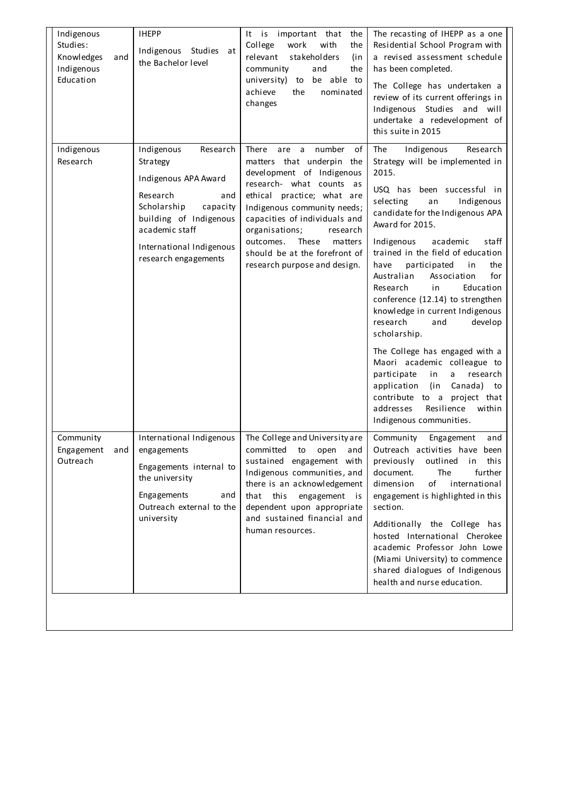| Indigenous<br>Studies:<br><b>Knowledges</b><br>and<br>Indigenous<br>Education | <b>IHEPP</b><br>Indigenous Studies<br>at<br>the Bachelor level                                                                                                                                           | It is important that<br>the<br>College<br>with<br>work<br>the<br>relevant<br>stakeholders<br>(in<br>community<br>and<br>the<br>be able to<br>university)<br>to<br>achieve<br>the<br>nominated<br>changes                                                                                                                                                 | The recasting of IHEPP as a one<br>Residential School Program with<br>a revised assessment schedule<br>has been completed.<br>The College has undertaken a<br>review of its current offerings in<br>Indigenous Studies and will<br>undertake a redevelopment of<br>this suite in 2015                                                                                                                                                                                                                                                                                                                                                                                                                                       |
|-------------------------------------------------------------------------------|----------------------------------------------------------------------------------------------------------------------------------------------------------------------------------------------------------|----------------------------------------------------------------------------------------------------------------------------------------------------------------------------------------------------------------------------------------------------------------------------------------------------------------------------------------------------------|-----------------------------------------------------------------------------------------------------------------------------------------------------------------------------------------------------------------------------------------------------------------------------------------------------------------------------------------------------------------------------------------------------------------------------------------------------------------------------------------------------------------------------------------------------------------------------------------------------------------------------------------------------------------------------------------------------------------------------|
| Indigenous<br>Research                                                        | Indigenous<br>Research<br>Strategy<br>Indigenous APA Award<br>Research<br>and<br>Scholarship<br>capacity<br>building of Indigenous<br>academic staff<br>International Indigenous<br>research engagements | There<br>number<br>are<br>a<br>οf<br>matters that underpin the<br>development of Indigenous<br>research- what counts<br>as<br>ethical practice; what are<br>Indigenous community needs;<br>capacities of individuals and<br>organisations;<br>research<br>These<br>outcomes.<br>matters<br>should be at the forefront of<br>research purpose and design. | Indigenous<br><b>The</b><br>Research<br>Strategy will be implemented in<br>2015.<br>USQ has been successful in<br>selecting<br>Indigenous<br>an<br>candidate for the Indigenous APA<br>Award for 2015.<br>Indigenous<br>academic<br>staff<br>trained in the field of education<br>have<br>participated<br>the<br>in<br>Australian<br>for<br>Association<br>Research<br>Education<br>in<br>conference (12.14) to strengthen<br>knowledge in current Indigenous<br>research<br>develop<br>and<br>scholarship.<br>The College has engaged with a<br>Maori academic colleague to<br>participate<br>in<br>a<br>research<br>application<br>(in<br>Canada) to<br>contribute to a project that<br>Resilience<br>addresses<br>within |
| Community<br>Engagement $and$ engagements<br>Outreach                         | International Indigenous<br>Engagements internal to<br>the university<br>Engagements<br>and<br>Outreach external to the<br>university                                                                    | The College and University are<br>committed to open and<br>sustained engagement with<br>Indigenous communities, and<br>there is an acknowledgement<br>that this<br>engagement<br>is<br>dependent upon appropriate<br>and sustained financial and<br>human resources.                                                                                     | Indigenous communities.<br>Community<br>Engagement<br>and<br>Outreach activities have been<br>previously<br>outlined in this<br>The<br>further<br>document.<br>of international<br>dimension<br>engagement is highlighted in this<br>section.<br>Additionally the College has<br>hosted International Cherokee<br>academic Professor John Lowe<br>(Miami University) to commence<br>shared dialogues of Indigenous<br>health and nurse education.                                                                                                                                                                                                                                                                           |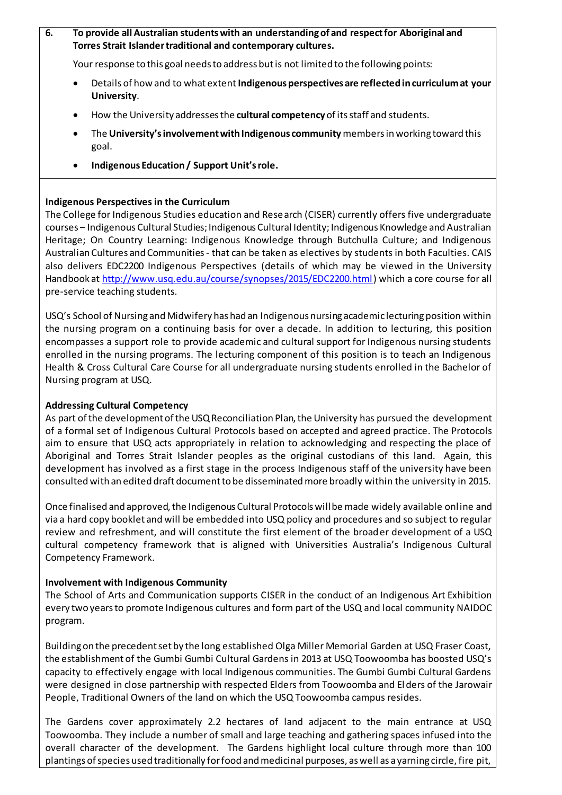### **6. To provide all Australian students with an understanding of and respect for Aboriginal and Torres Strait Islander traditional and contemporary cultures.**

Your response to this goal needs to address but is not limited to the following points:

- Details of how and to what extent **Indigenous perspectives are reflected in curriculum at your University**.
- How the University addressesthe **cultural competency**of its staff and students.
- The **University's involvement with Indigenous community** members in working toward this goal.
- **Indigenous Education / Support Unit's role.**

# **Indigenous Perspectives in the Curriculum**

The College for Indigenous Studies education and Research (CISER) currently offers five undergraduate courses – Indigenous Cultural Studies; Indigenous Cultural Identity; Indigenous Knowledge and Australian Heritage; On Country Learning: Indigenous Knowledge through Butchulla Culture; and Indigenous Australian Cultures and Communities - that can be taken as electives by students in both Faculties. CAIS also delivers EDC2200 Indigenous Perspectives (details of which may be viewed in the University Handbook at<http://www.usq.edu.au/course/synopses/2015/EDC2200.html>) which a core course for all pre-service teaching students.

USQ's School of Nursing and Midwifery has had an Indigenous nursing academic lecturing position within the nursing program on a continuing basis for over a decade. In addition to lecturing, this position encompasses a support role to provide academic and cultural support for Indigenous nursing students enrolled in the nursing programs. The lecturing component of this position is to teach an Indigenous Health & Cross Cultural Care Course for all undergraduate nursing students enrolled in the Bachelor of Nursing program at USQ.

### **Addressing Cultural Competency**

As part of the development of the USQ Reconciliation Plan, the University has pursued the development of a formal set of Indigenous Cultural Protocols based on accepted and agreed practice. The Protocols aim to ensure that USQ acts appropriately in relation to acknowledging and respecting the place of Aboriginal and Torres Strait Islander peoples as the original custodians of this land. Again, this development has involved as a first stage in the process Indigenous staff of the university have been consulted with an edited draft document to be disseminated more broadly within the university in 2015.

Once finalised and approved, the Indigenous Cultural Protocols will be made widely available online and via a hard copy booklet and will be embedded into USQ policy and procedures and so subject to regular review and refreshment, and will constitute the first element of the broader development of a USQ cultural competency framework that is aligned with Universities Australia's Indigenous Cultural Competency Framework.

### **Involvement with Indigenous Community**

The School of Arts and Communication supports CISER in the conduct of an Indigenous Art Exhibition every two years to promote Indigenous cultures and form part of the USQ and local community NAIDOC program.

Building on the precedent set by the long established Olga Miller Memorial Garden at USQ Fraser Coast, the establishment of the Gumbi Gumbi Cultural Gardens in 2013 at USQ Toowoomba has boosted USQ's capacity to effectively engage with local Indigenous communities. The Gumbi Gumbi Cultural Gardens were designed in close partnership with respected Elders from Toowoomba and El ders of the Jarowair People, Traditional Owners of the land on which the USQ Toowoomba campus resides.

The Gardens cover approximately 2.2 hectares of land adjacent to the main entrance at USQ Toowoomba. They include a number of small and large teaching and gathering spaces infused into the overall character of the development. The Gardens highlight local culture through more than 100 plantings of species used traditionally for food and medicinal purposes, as well as a yarning circle, fire pit,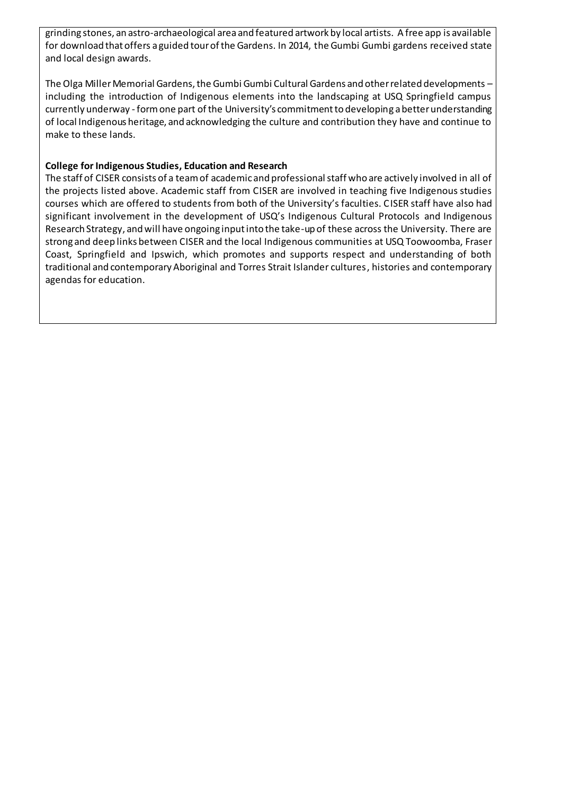grinding stones, an astro-archaeological area and featured artwork by local artists. A free app is available for download that offers a guided tour of the Gardens. In 2014, the Gumbi Gumbi gardens received state and local design awards.

The Olga Miller Memorial Gardens, the Gumbi Gumbi Cultural Gardens and other related developments – including the introduction of Indigenous elements into the landscaping at USQ Springfield campus currently underway - form one part of the University's commitment to developing a better understanding of local Indigenous heritage, and acknowledging the culture and contribution they have and continue to make to these lands.

### **College for Indigenous Studies, Education and Research**

The staff of CISER consists of a team of academic and professional staff who are actively involved in all of the projects listed above. Academic staff from CISER are involved in teaching five Indigenous studies courses which are offered to students from both of the University's faculties. CISER staff have also had significant involvement in the development of USQ's Indigenous Cultural Protocols and Indigenous Research Strategy, and will have ongoing input into the take-up of these across the University. There are strong and deep links between CISER and the local Indigenous communities at USQ Toowoomba, Fraser Coast, Springfield and Ipswich, which promotes and supports respect and understanding of both traditional and contemporary Aboriginal and Torres Strait Islander cultures, histories and contemporary agendas for education.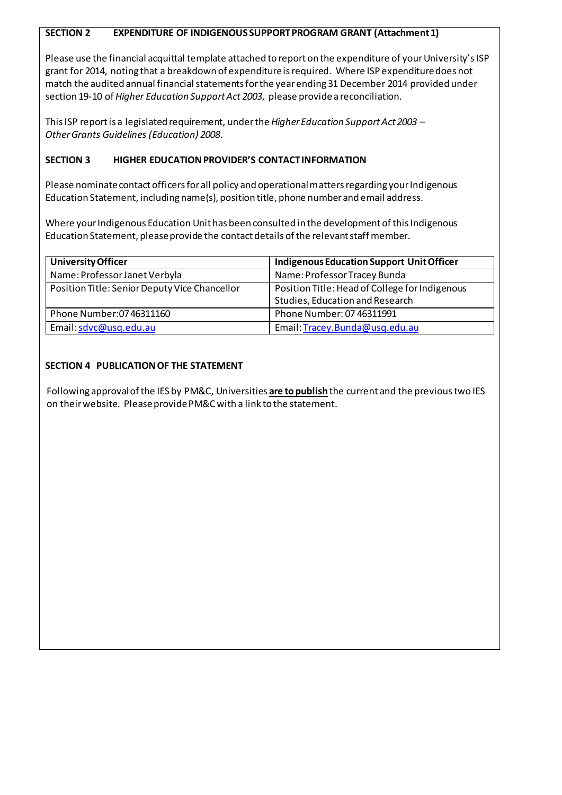### **SECTION 2 EXPENDITURE OF INDIGENOUS SUPPORT PROGRAM GRANT (Attachment 1)**

Please use the financial acquittal template attached to report on the expenditure of your University's ISP grant for 2014, noting that a breakdown of expenditure is required. Where ISP expenditure does not match the audited annual financial statements for the year ending 31 December 2014 provided under section 19-10 of *Higher Education Support Act 2003*, please provide a reconciliation.

ThisISP report is a legislated requirement, underthe *Higher Education Support Act 2003* – *Other Grants Guidelines (Education) 2008*.

### **SECTION 3 HIGHER EDUCATION PROVIDER'S CONTACT INFORMATION**

Please nominate contact officers for all policy and operational matters regarding your Indigenous Education Statement, including name(s), position title, phone number and email address.

Where your Indigenous Education Unit has been consulted in the development of this Indigenous Education Statement, please provide the contact details of the relevant staff member.

| <b>University Officer</b>                     | <b>Indigenous Education Support Unit Officer</b>                                  |
|-----------------------------------------------|-----------------------------------------------------------------------------------|
| Name: Professor Janet Verbyla                 | Name: Professor Tracey Bunda                                                      |
| Position Title: Senior Deputy Vice Chancellor | Position Title: Head of College for Indigenous<br>Studies, Education and Research |
| Phone Number: 07 46311160                     | Phone Number: 07 46311991                                                         |
| Email: sdvc@usq.edu.au                        | Email: Tracey.Bunda@usq.edu.au                                                    |

# **SECTION 4 PUBLICATION OF THE STATEMENT**

Following approval of the IES by PM&C, Universities **are to publish** the current and the previoustwo IES on their website. Please provide PM&Cwith a link to the statement.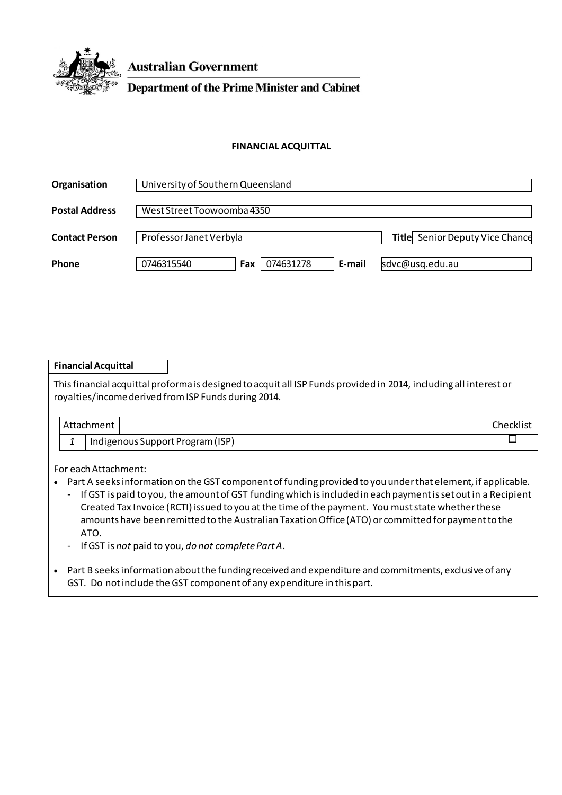

**Australian Government** 

**Department of the Prime Minister and Cabinet** 

#### **FINANCIAL ACQUITTAL**

| Organisation          | University of Southern Queensland        |                                        |  |
|-----------------------|------------------------------------------|----------------------------------------|--|
| <b>Postal Address</b> | West Street Toowoomba 4350               |                                        |  |
| <b>Contact Person</b> | Professor Janet Verbyla                  | <b>Title</b> Senior Deputy Vice Chance |  |
| Phone                 | 074631278<br>0746315540<br>E-mail<br>Fax | sdvc@usq.edu.au                        |  |

|                                                                                                                                                                                                                                                                  |  | <b>Financial Acquittal</b> |                                  |           |
|------------------------------------------------------------------------------------------------------------------------------------------------------------------------------------------------------------------------------------------------------------------|--|----------------------------|----------------------------------|-----------|
| This financial acquittal proforma is designed to acquit all ISP Funds provided in 2014, including all interest or<br>royalties/income derived from ISP Funds during 2014.                                                                                        |  |                            |                                  |           |
|                                                                                                                                                                                                                                                                  |  | Attachment                 |                                  | Checklist |
|                                                                                                                                                                                                                                                                  |  |                            | Indigenous Support Program (ISP) |           |
| For each Attachment:<br>Part A seeks information on the GST component of funding provided to you under that element, if applicable.<br>$\bullet$<br>If GST is paid to you, the amount of GST funding which is included in each payment is set out in a Recipient |  |                            |                                  |           |

- Created Tax Invoice (RCTI) issued to you at the time of the payment. You must state whether these amounts have been remitted to the Australian Taxation Office (ATO) or committed for payment to the ATO.
- If GST is *not* paid to you, *do not complete Part A*.
- Part B seeksinformation about the funding received and expenditure and commitments, exclusive of any GST. Do not include the GST component of any expenditure in this part.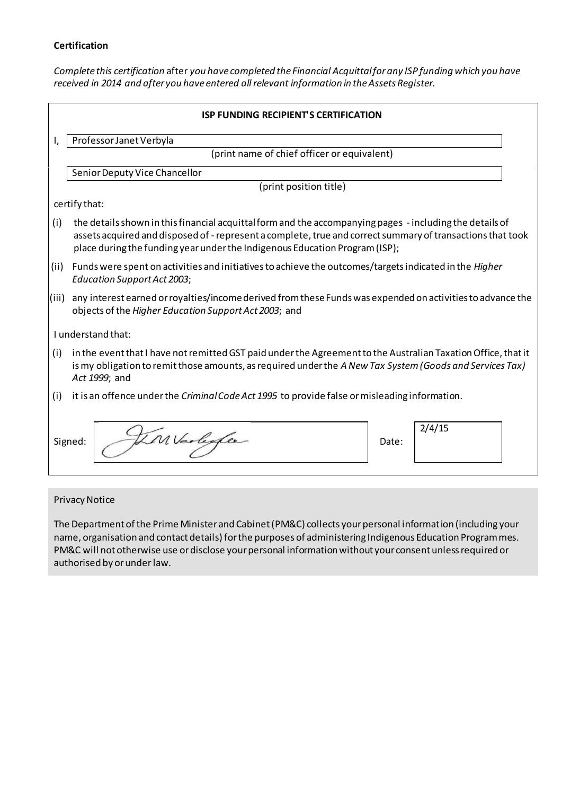#### **Certification**

*Complete this certification* after *you have completed the Financial Acquittal for any ISP funding which you have received in 2014 and after you have entered all relevant information in the Assets Register.*

|       | <b>ISP FUNDING RECIPIENT'S CERTIFICATION</b>                                                                                                                                                                                                                                                          |  |  |
|-------|-------------------------------------------------------------------------------------------------------------------------------------------------------------------------------------------------------------------------------------------------------------------------------------------------------|--|--|
|       | Professor Janet Verbyla                                                                                                                                                                                                                                                                               |  |  |
|       | (print name of chief officer or equivalent)                                                                                                                                                                                                                                                           |  |  |
|       | Senior Deputy Vice Chancellor                                                                                                                                                                                                                                                                         |  |  |
|       | (print position title)                                                                                                                                                                                                                                                                                |  |  |
|       | certify that:                                                                                                                                                                                                                                                                                         |  |  |
| (i)   | the details shown in this financial acquittal form and the accompanying pages - including the details of<br>assets acquired and disposed of - represent a complete, true and correct summary of transactions that took<br>place during the funding year under the Indigenous Education Program (ISP); |  |  |
| (ii)  | Funds were spent on activities and initiatives to achieve the outcomes/targets indicated in the Higher<br><b>Education Support Act 2003;</b>                                                                                                                                                          |  |  |
| (iii) | any interest earned or royalties/income derived from these Funds was expended on activities to advance the<br>objects of the Higher Education Support Act 2003; and                                                                                                                                   |  |  |
|       | I understand that:                                                                                                                                                                                                                                                                                    |  |  |
| (i)   | in the event that I have not remitted GST paid under the Agreement to the Australian Taxation Office, that it<br>is my obligation to remit those amounts, as required under the A New Tax System (Goods and Services Tax)<br>Act 1999; and                                                            |  |  |
| (i)   | it is an offence under the <i>Criminal Code Act 1995</i> to provide false or misleading information.                                                                                                                                                                                                  |  |  |
|       | 2/4/15<br>Inverligge<br>Signed:<br>Date:                                                                                                                                                                                                                                                              |  |  |

#### Privacy Notice

The Department of the Prime Minister and Cabinet (PM&C) collects your personal information (including your name, organisation and contact details) for the purposes of administering Indigenous Education Programmes. PM&C will not otherwise use or disclose your personal information without your consent unless required or authorised by or underlaw.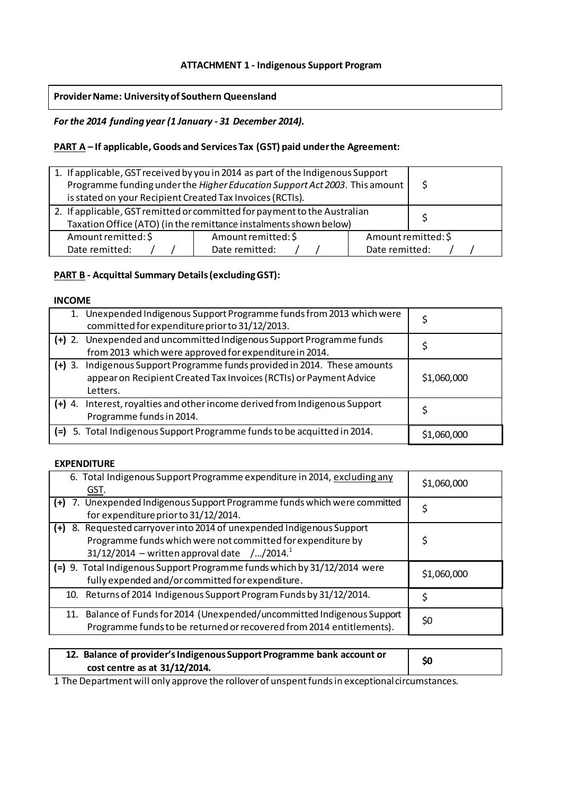### **ATTACHMENT 1 - Indigenous Support Program**

#### **Provider Name: University of Southern Queensland**

#### *For the 2014 funding year (1 January - 31 December 2014).*

### **PART A – If applicable, Goods and Services Tax (GST) paid under the Agreement:**

| 1. If applicable, GST received by you in 2014 as part of the Indigenous Support<br>Programme funding under the Higher Education Support Act 2003. This amount<br>is stated on your Recipient Created Tax Invoices (RCTIs). | \$.                 |  |  |
|----------------------------------------------------------------------------------------------------------------------------------------------------------------------------------------------------------------------------|---------------------|--|--|
| 2. If applicable, GST remitted or committed for payment to the Australian                                                                                                                                                  |                     |  |  |
| Taxation Office (ATO) (in the remittance instalments shown below)                                                                                                                                                          |                     |  |  |
| Amount remitted: \$                                                                                                                                                                                                        | Amount remitted: \$ |  |  |
| Date remitted:<br>Date remitted:<br>Date remitted:                                                                                                                                                                         |                     |  |  |

### **PART B - Acquittal Summary Details (excluding GST):**

#### **INCOME**

|          | 1. Unexpended Indigenous Support Programme funds from 2013 which were<br>committed for expenditure prior to 31/12/2013.                                     |             |
|----------|-------------------------------------------------------------------------------------------------------------------------------------------------------------|-------------|
|          | (+) 2. Unexpended and uncommitted Indigenous Support Programme funds<br>from 2013 which were approved for expenditure in 2014.                              |             |
|          |                                                                                                                                                             |             |
|          | (+) 3. Indigenous Support Programme funds provided in 2014. These amounts<br>appear on Recipient Created Tax Invoices (RCTIs) or Payment Advice<br>Letters. | \$1,060,000 |
| $(+)$ 4. | Interest, royalties and other income derived from Indigenous Support<br>Programme funds in 2014.                                                            | S           |
|          | (=) 5. Total Indigenous Support Programme funds to be acquitted in 2014.                                                                                    | \$1,060,000 |

#### **EXPENDITURE**

| 6. Total Indigenous Support Programme expenditure in 2014, excluding any<br>GST.                                                                                                   | \$1,060,000 |
|------------------------------------------------------------------------------------------------------------------------------------------------------------------------------------|-------------|
| (+) 7. Unexpended Indigenous Support Programme funds which were committed<br>for expenditure prior to 31/12/2014.                                                                  |             |
| (+) 8. Requested carryover into 2014 of unexpended Indigenous Support<br>Programme funds which were not committed for expenditure by<br>31/12/2014 – written approval date //2014. |             |
| (=) 9. Total Indigenous Support Programme funds which by 31/12/2014 were<br>fully expended and/or committed for expenditure.                                                       | \$1,060,000 |
| 10. Returns of 2014 Indigenous Support Program Funds by 31/12/2014.                                                                                                                |             |
| 11. Balance of Funds for 2014 (Unexpended/uncommitted Indigenous Support<br>Programme funds to be returned or recovered from 2014 entitlements).                                   | \$0         |

| 12. Balance of provider's Indigenous Support Programme bank account or<br>cost centre as at 31/12/2014. | \$0 |
|---------------------------------------------------------------------------------------------------------|-----|
|                                                                                                         |     |

1 The Department will only approve the rollover of unspent funds in exceptional circumstances.